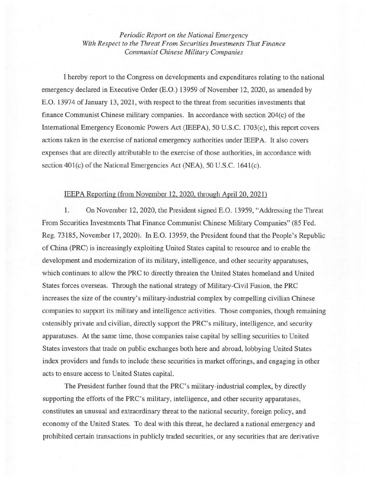*Periodic Report on the National Emergency With Respect to the Threat From Securities Investments That Finance Communist Chinese Military Companies* 

I hereby report to the Congress on developments and expenditures relating to the national emergency declared in Executive Order (E.O.) 13959 of November 12, 2020, as amended by E.O. 13974 of January 13, 2021, with respect to the threat from securities investments that finance Communist Chinese military companies. In accordance with section 204(c) of the International Emergency Economic Powers Act (IEEPA), 50 U.S.C. 1703(c), this report covers actions taken in the exercise of national emergency authorities under IEEP A. It also covers expenses that are directly attributable to the exercise of those authorities, in accordance with section 401(c) of the National Emergencies Act (NEA), 50 U.S.C. 1641(c).

## IEEPA Reporting (from November 12, 2020, through April20. 2021)

1. On November 12, 2020, the President signed E.O. 13959, "Addressing the Threat From Securities Investments That Finance Communist Chinese Military Companies" (85 Fed. Reg. 73185, November 17, 2020). In E.O. 13959, the President found that the People's Republic of China (PRC) is increasingly exploiting United States capital to resource and to enable the development and modernization of its military, intelligence, and other security apparatuses, which continues to allow the PRC to directly threaten the United States homeland and United States forces overseas. Through the national strategy of Military-Civil Fusion, the PRC increases the size of the country's military-industrial complex by compelling civilian Chinese companies to support its military and intelligence activities. Those companies, though remaining ostensibly private and civilian, directly support the PRC's military, intelligence, and security apparatuses. At the same time, those companies raise capital by selling securities to United States investors that trade on public exchanges both here and abroad, lobbying United States index providers and funds to include these securities in market offerings, and engaging in other acts to ensure access to United States capital.

The President further found that the PRC's military-industrial complex, by directly supporting the efforts of the PRC's military, intelligence, and other security apparatuses, constitutes an unusual and extraordinary threat to the national security, foreign policy, and economy of the United States. To deal with this threat, he declared a national emergency and prohibited certain transactions in publicly traded securities, or any securities that are derivative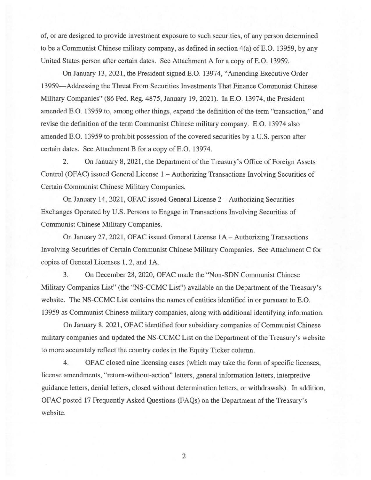of, or are designed to provide investment exposure to such securities, of any person determined to be a Communist Chinese military company, as defined in section 4(a) ofE.O. 13959, by any United States person after certain dates. See Attachment A for a copy of E.O. 13959.

On January 13, 2021, the President signed E.O. 13974, "Amending Executive Order 13959-Addressing the Threat From Securities Investments That Finance Communist Chinese Military Companies" (86 Fed. Reg. 4875, January 19, 2021). In E.O. 13974, the President amended E.O. 13959 to, among other things, expand the definition of the term "transaction," and revise the definition of the term Communist Chinese military company. E.O. 13974 also amended E.O. 13959 to prohibit possession of the covered securities by a U.S. person after certain dates. See Attachment B for a copy of E.O. 13974.

2. On January 8, 2021, the Department of the Treasury's Office of Foreign Assets Control (OFAC) issued General License 1 – Authorizing Transactions Involving Securities of Certain Communist Chinese Military Companies.

On January 14, 2021, OFAC issued General License 2- Authorizing Securities Exchanges Operated by U.S. Persons to Engage in Transactions Involving Securities of Communist Chinese Military Companies.

On January 27, 2021, OFAC issued General License 1A- Authorizing Transactions Involving Securities of Certain Communist Chinese Military Companies. See Attachment C for copies of General Licenses 1, 2, and lA.

3. On December 28,2020, OFAC made the "Non-SDN Communist Chinese Military Companies List" (the "NS-CCMC List") available on the Department of the Treasury's website. The NS-CCMC List contains the names of entities identified in or pursuant to E.O. 13959 as Communist Chinese military companies, along with additional identifying information.

On January 8, 2021, OFAC identified four subsidiary companies of Communist Chinese military companies and updated the NS-CCMC List on the Department of the Treasury's website to more accurately reflect the country codes in the Equity Ticker column.

4. OFAC closed nine licensing cases (which may take the form of specific licenses, license amendments, "return-without-action" letters, general information letters, interpretive guidance letters, denial letters, closed without determination letters, or withdrawals). In addition, OFAC posted 17 Frequently Asked Questions (FAQs) on the Department of the Treasury's website.

2